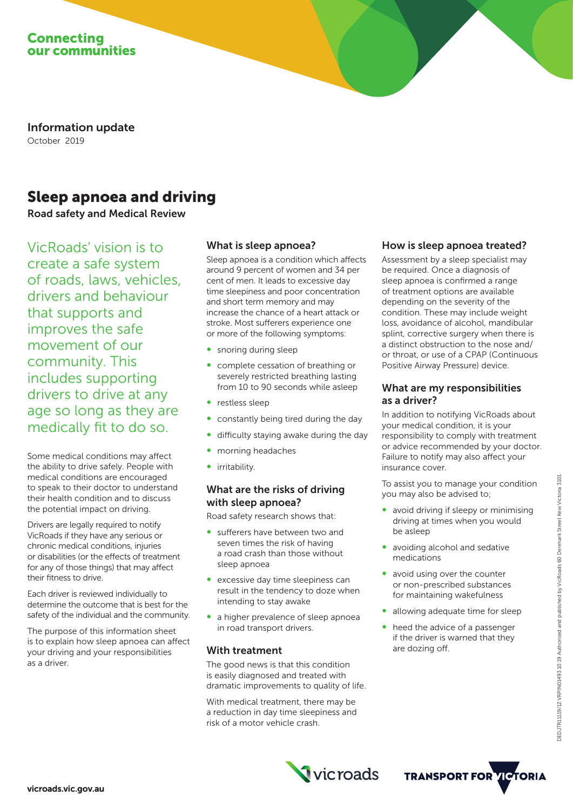

Information update October 2019

# Sleep apnoea and driving

Road safety and Medical Review

VicRoads' vision is to create a safe system of roads, laws, vehicles, drivers and behaviour that supports and improves the safe movement of our community. This includes supporting drivers to drive at any age so long as they are medically fit to do so.

Some medical conditions may affect the ability to drive safely. People with medical conditions are encouraged to speak to their doctor to understand their health condition and to discuss the potential impact on driving.

Drivers are legally required to notify VicRoads if they have any serious or chronic medical conditions, injuries or disabilities (or the effects of treatment for any of those things) that may affect their fitness to drive.

Each driver is reviewed individually to determine the outcome that is best for the safety of the individual and the community.

The purpose of this information sheet is to explain how sleep apnoea can affect your driving and your responsibilities as a driver.

#### What is sleep apnoea?

Sleep apnoea is a condition which affects around 9 percent of women and 34 per cent of men. It leads to excessive day time sleepiness and poor concentration and short term memory and may increase the chance of a heart attack or stroke. Most sufferers experience one or more of the following symptoms:

- snoring during sleep
- ∞ complete cessation of breathing or severely restricted breathing lasting from 10 to 90 seconds while asleep
- ∞ restless sleep
- constantly being tired during the day
- difficulty staying awake during the day
- morning headaches
- ∞ irritability.

# What are the risks of driving with sleep apnoea?

Road safety research shows that:

- sufferers have between two and seven times the risk of having a road crash than those without sleep apnoea
- excessive day time sleepiness can result in the tendency to doze when intending to stay awake
- a higher prevalence of sleep apnoea in road transport drivers.

#### With treatment

The good news is that this condition is easily diagnosed and treated with dramatic improvements to quality of life.

With medical treatment, there may be a reduction in day time sleepiness and risk of a motor vehicle crash.

## How is sleep apnoea treated?

Assessment by a sleep specialist may be required. Once a diagnosis of sleep apnoea is confirmed a range of treatment options are available depending on the severity of the condition. These may include weight loss, avoidance of alcohol, mandibular splint, corrective surgery when there is a distinct obstruction to the nose and/ or throat, or use of a CPAP (Continuous Positive Airway Pressure) device.

### What are my responsibilities as a driver?

In addition to notifying VicRoads about your medical condition, it is your responsibility to comply with treatment or advice recommended by your doctor. Failure to notify may also affect your insurance cover.

To assist you to manage your condition you may also be advised to;

- avoid driving if sleepy or minimising driving at times when you would be asleep
- avoiding alcohol and sedative medications
- avoid using over the counter or non-prescribed substances for maintaining wakefulness
- allowing adequate time for sleep
- heed the advice of a passenger if the driver is warned that they are dozing off.

DEDJTR11119/12 VRPIN01493 10.19 Authorised and published by VicRoads 60 Denmark Street Kew Victoria 3101. EDJTR11119/12 VRPIN01493 10.19 Authorised and published by VicRoads 60 Denmark Street Kew Victoria 3101